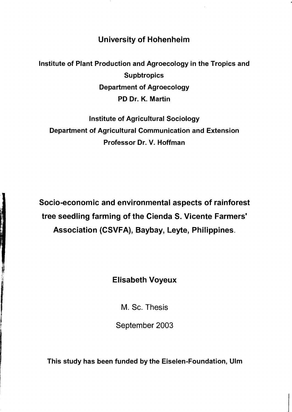University of Hohenheim

Institute of Plant Production and Agroecology in the Tropics and **Supbtropics** Department of Agroecology PD Dr. K. Martin

Institute of Agricultural Sociology Department of Agricultural Communication and Extension Professor Dr. V. Hoffman

Socio-economic and environmental aspects of rainforest tree seedling farming of the Cienda S. Vicente Farmers' Association (CSVFA), Baybay, Leyte, Philippines.

## Elisabeth Voyeux

M. Sc. Thesis

September 2003

This study has been funded by the Eiselen-Foundation, Ulm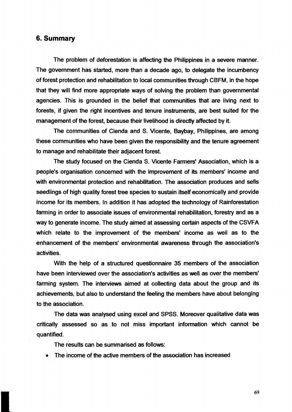## 6. **Summary**

The problem of deforestation is affecting the Philippines in a severe manner. The govemment has started, more than a decade ago, to delegate the incumbency of forest protection and rehabilitation to local communities through CBFM, in the hope that they will find more appropriate ways of solving the problem than govemmental agencies. This is grounded in the belief that communities that are living next to forests, if given the right incentives and tenure instruments, are best suited for the management of the forest, because their livelihood is directly affected by it.

The communities of Cienda and S. Vicente, Baybay. Philippines, are among these communities who have been given the responsibility and the tenure agreement to manage and rehabilitate their adjacent forest.

The study focused on the Cienda S. Vicente Farmers' Association, which is a people's organisation concemed with the improvement of its members' income and with environmental protection and rehabilitation. The association produces and sells seedlings of high quality forest tree species to sustain itself economically and provide income for its members. In addition it has adopted the technology of Rainforestation farming in order to associate issues of environmental rehabilitation, forestry and as a way to generate income. The study aimed at assessing certain aspects of the CSVFA which relate to the improvement of the members' income as weil as to the enhancement of the members' environmental awareness through the association's activities.

With the help of a structured questionnaire 35 members of the association have been interviewed over the association's activities as weil as over the members' farming system. The interviews aimed at collecting data about the group and its achievements, but also to understand the feeling the members have about belonging to the association.

The data was analysed using excel and SPSS. Moreover qualitative data was critically assessed so as to not miss important information which cannot be quantified.

The results can be summarised as folIows:

• The income of the active members of the association has increased